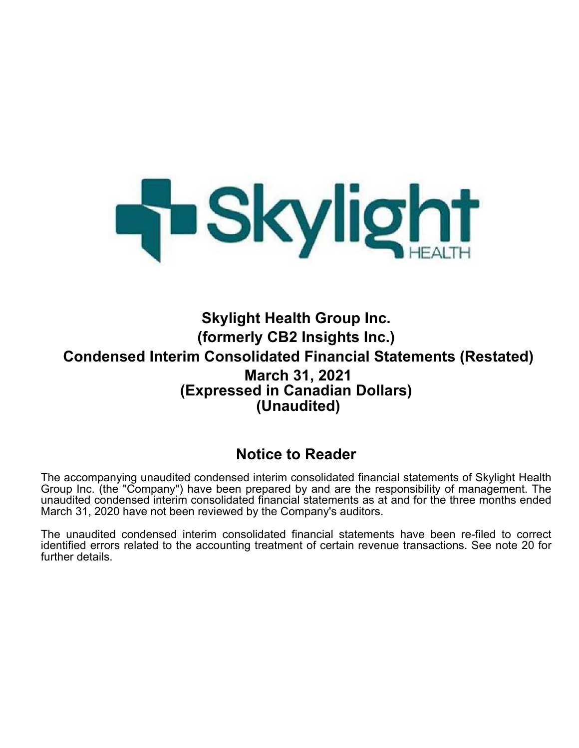

**Skylight Health Group Inc. (formerly CB2 Insights Inc.) Condensed Interim Consolidated Financial Statements (Restated) March 31, 2021 (Expressed in Canadian Dollars) (Unaudited)**

# **Notice to Reader**

The accompanying unaudited condensed interim consolidated financial statements of Skylight Health Group Inc. (the "Company") have been prepared by and are the responsibility of management. The unaudited condensed interim consolidated financial statements as at and for the three months ended March 31, 2020 have not been reviewed by the Company's auditors.

The unaudited condensed interim consolidated financial statements have been re-filed to correct identified errors related to the accounting treatment of certain revenue transactions. See note 20 for further details.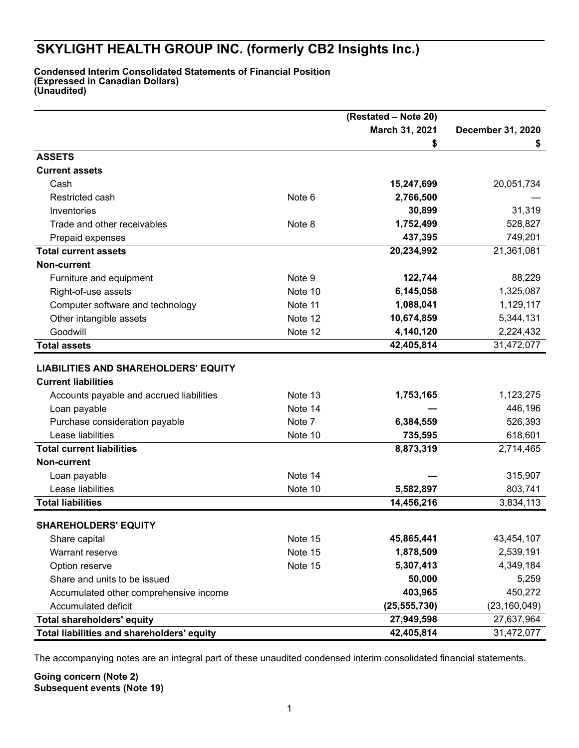#### **Condensed Interim Consolidated Statements of Financial Position (Expressed in Canadian Dollars) (Unaudited)**

|                                             |         | (Restated - Note 20) |                   |
|---------------------------------------------|---------|----------------------|-------------------|
|                                             |         | March 31, 2021       | December 31, 2020 |
|                                             |         | \$                   | \$                |
| <b>ASSETS</b>                               |         |                      |                   |
| <b>Current assets</b>                       |         |                      |                   |
| Cash                                        |         | 15,247,699           | 20,051,734        |
| Restricted cash                             | Note 6  | 2,766,500            |                   |
| Inventories                                 |         | 30,899               | 31,319            |
| Trade and other receivables                 | Note 8  | 1,752,499            | 528,827           |
| Prepaid expenses                            |         | 437,395              | 749,201           |
| <b>Total current assets</b>                 |         | 20,234,992           | 21,361,081        |
| Non-current                                 |         |                      |                   |
| Furniture and equipment                     | Note 9  | 122,744              | 88,229            |
| Right-of-use assets                         | Note 10 | 6,145,058            | 1,325,087         |
| Computer software and technology            | Note 11 | 1,088,041            | 1,129,117         |
| Other intangible assets                     | Note 12 | 10,674,859           | 5,344,131         |
| Goodwill                                    | Note 12 | 4,140,120            | 2,224,432         |
| <b>Total assets</b>                         |         | 42,405,814           | 31,472,077        |
| <b>LIABILITIES AND SHAREHOLDERS' EQUITY</b> |         |                      |                   |
| <b>Current liabilities</b>                  |         |                      |                   |
| Accounts payable and accrued liabilities    | Note 13 | 1,753,165            | 1,123,275         |
| Loan payable                                | Note 14 |                      | 446,196           |
| Purchase consideration payable              | Note 7  | 6,384,559            | 526,393           |
| Lease liabilities                           | Note 10 | 735,595              | 618,601           |
| <b>Total current liabilities</b>            |         | 8,873,319            | 2,714,465         |
| <b>Non-current</b>                          |         |                      |                   |
| Loan payable                                | Note 14 |                      | 315,907           |
| Lease liabilities                           | Note 10 | 5,582,897            | 803,741           |
| <b>Total liabilities</b>                    |         | 14,456,216           | 3,834,113         |
|                                             |         |                      |                   |
| <b>SHAREHOLDERS' EQUITY</b>                 |         |                      |                   |
| Share capital                               | Note 15 | 45,865,441           | 43,454,107        |
| Warrant reserve                             | Note 15 | 1,878,509            | 2,539,191         |
| Option reserve                              | Note 15 | 5,307,413            | 4,349,184         |
| Share and units to be issued                |         | 50,000               | 5,259             |
| Accumulated other comprehensive income      |         | 403,965              | 450,272           |
| Accumulated deficit                         |         | (25, 555, 730)       | (23, 160, 049)    |
| <b>Total shareholders' equity</b>           |         | 27,949,598           | 27,637,964        |
| Total liabilities and shareholders' equity  |         | 42,405,814           | 31,472,077        |

The accompanying notes are an integral part of these unaudited condensed interim consolidated financial statements.

**Going concern (Note 2) Subsequent events (Note 19)**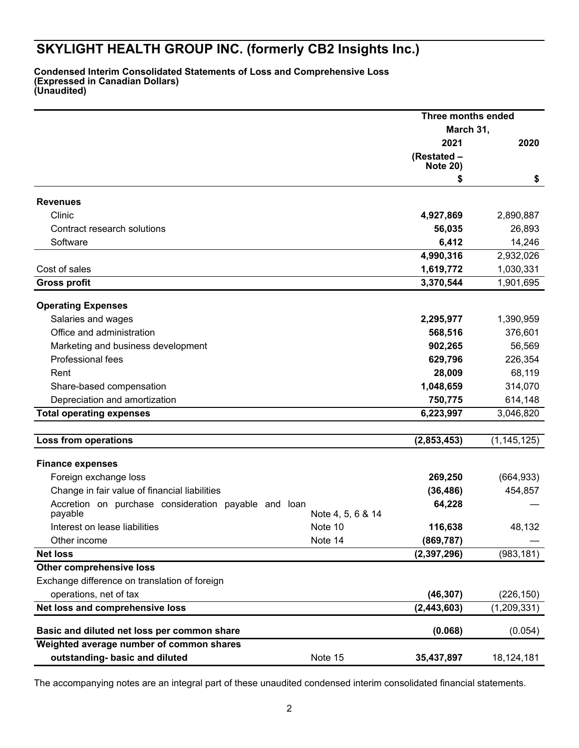**Condensed Interim Consolidated Statements of Loss and Comprehensive Loss (Expressed in Canadian Dollars) (Unaudited)**

|                                                      |                   | Three months ended             |               |  |
|------------------------------------------------------|-------------------|--------------------------------|---------------|--|
|                                                      |                   | March 31,                      |               |  |
|                                                      |                   | 2021                           | 2020          |  |
|                                                      |                   | (Restated -<br><b>Note 20)</b> |               |  |
|                                                      |                   | \$                             | \$            |  |
|                                                      |                   |                                |               |  |
| <b>Revenues</b>                                      |                   |                                |               |  |
| Clinic                                               |                   | 4,927,869                      | 2,890,887     |  |
| Contract research solutions                          |                   | 56,035                         | 26,893        |  |
| Software                                             |                   | 6,412                          | 14,246        |  |
|                                                      |                   | 4,990,316                      | 2,932,026     |  |
| Cost of sales                                        |                   | 1,619,772                      | 1,030,331     |  |
| <b>Gross profit</b>                                  |                   | 3,370,544                      | 1,901,695     |  |
| <b>Operating Expenses</b>                            |                   |                                |               |  |
| Salaries and wages                                   |                   | 2,295,977                      | 1,390,959     |  |
| Office and administration                            |                   | 568,516                        | 376,601       |  |
| Marketing and business development                   |                   | 902,265                        | 56,569        |  |
| Professional fees                                    |                   | 629,796                        | 226,354       |  |
| Rent                                                 |                   |                                |               |  |
|                                                      |                   | 28,009                         | 68,119        |  |
| Share-based compensation                             |                   | 1,048,659                      | 314,070       |  |
| Depreciation and amortization                        |                   | 750,775                        | 614,148       |  |
| <b>Total operating expenses</b>                      |                   | 6,223,997                      | 3,046,820     |  |
| <b>Loss from operations</b>                          |                   | (2,853,453)                    | (1, 145, 125) |  |
|                                                      |                   |                                |               |  |
| <b>Finance expenses</b>                              |                   |                                |               |  |
| Foreign exchange loss                                |                   | 269,250                        | (664, 933)    |  |
| Change in fair value of financial liabilities        |                   | (36, 486)                      | 454,857       |  |
| Accretion on purchase consideration payable and loan |                   | 64,228                         |               |  |
| payable                                              | Note 4, 5, 6 & 14 |                                |               |  |
| Interest on lease liabilities                        | Note 10           | 116,638                        | 48,132        |  |
| Other income                                         | Note 14           | (869, 787)                     |               |  |
| <b>Net loss</b>                                      |                   | (2, 397, 296)                  | (983, 181)    |  |
| <b>Other comprehensive loss</b>                      |                   |                                |               |  |
| Exchange difference on translation of foreign        |                   |                                |               |  |
| operations, net of tax                               |                   | (46, 307)                      | (226, 150)    |  |
| Net loss and comprehensive loss                      |                   | (2, 443, 603)                  | (1,209,331)   |  |
|                                                      |                   |                                |               |  |
| Basic and diluted net loss per common share          |                   | (0.068)                        | (0.054)       |  |
| Weighted average number of common shares             |                   |                                |               |  |
| outstanding- basic and diluted                       | Note 15           | 35,437,897                     | 18,124,181    |  |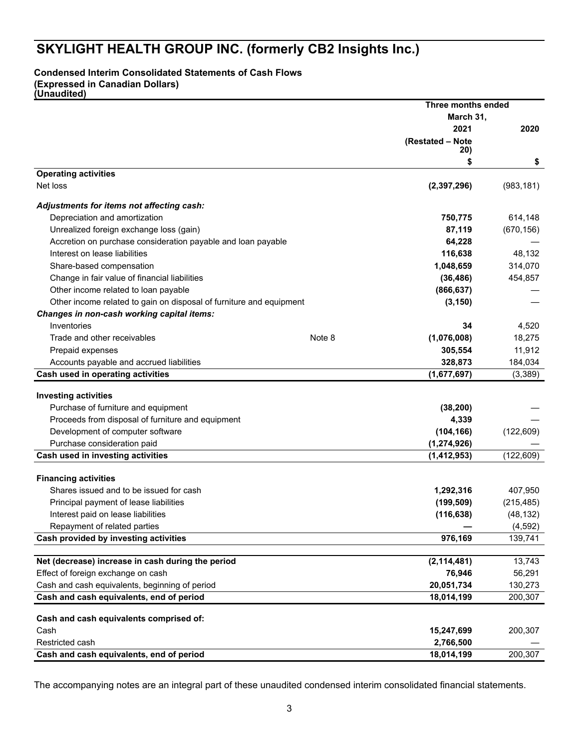### **Condensed Interim Consolidated Statements of Cash Flows**

**(Expressed in Canadian Dollars)**

**(Unaudited)**

|                                                                     | Three months ended    |            |
|---------------------------------------------------------------------|-----------------------|------------|
|                                                                     | March 31,             |            |
|                                                                     | 2021                  | 2020       |
|                                                                     | (Restated - Note      |            |
|                                                                     | 20)<br>\$             | \$         |
| <b>Operating activities</b>                                         |                       |            |
| Net loss                                                            | (2, 397, 296)         | (983, 181) |
| Adjustments for items not affecting cash:                           |                       |            |
| Depreciation and amortization                                       | 750,775               | 614,148    |
| Unrealized foreign exchange loss (gain)                             | 87,119                | (670, 156) |
| Accretion on purchase consideration payable and loan payable        | 64,228                |            |
| Interest on lease liabilities                                       | 116,638               | 48,132     |
| Share-based compensation                                            | 1,048,659             | 314,070    |
| Change in fair value of financial liabilities                       | (36, 486)             | 454,857    |
| Other income related to loan payable                                | (866, 637)            |            |
| Other income related to gain on disposal of furniture and equipment | (3, 150)              |            |
| Changes in non-cash working capital items:                          |                       |            |
| Inventories                                                         | 34                    | 4,520      |
| Trade and other receivables                                         | Note 8<br>(1,076,008) | 18,275     |
| Prepaid expenses                                                    | 305,554               | 11,912     |
| Accounts payable and accrued liabilities                            | 328,873               | 184,034    |
| Cash used in operating activities                                   | (1,677,697)           | (3,389)    |
|                                                                     |                       |            |
| <b>Investing activities</b>                                         |                       |            |
| Purchase of furniture and equipment                                 | (38, 200)             |            |
| Proceeds from disposal of furniture and equipment                   | 4,339                 |            |
| Development of computer software                                    | (104, 166)            | (122, 609) |
| Purchase consideration paid                                         | (1, 274, 926)         |            |
| Cash used in investing activities                                   | (1, 412, 953)         | (122, 609) |
| <b>Financing activities</b>                                         |                       |            |
| Shares issued and to be issued for cash                             | 1,292,316             | 407,950    |
| Principal payment of lease liabilities                              | (199, 509)            | (215, 485) |
| Interest paid on lease liabilities                                  | (116, 638)            | (48, 132)  |
| Repayment of related parties                                        |                       | (4, 592)   |
| Cash provided by investing activities                               | 976,169               | 139,741    |
| Net (decrease) increase in cash during the period                   | (2, 114, 481)         | 13,743     |
| Effect of foreign exchange on cash                                  | 76,946                | 56,291     |
| Cash and cash equivalents, beginning of period                      | 20,051,734            | 130,273    |
| Cash and cash equivalents, end of period                            | 18,014,199            | 200,307    |
|                                                                     |                       |            |
| Cash and cash equivalents comprised of:                             |                       |            |
| Cash                                                                | 15,247,699            | 200,307    |
| Restricted cash                                                     | 2,766,500             |            |
| Cash and cash equivalents, end of period                            | 18,014,199            | 200,307    |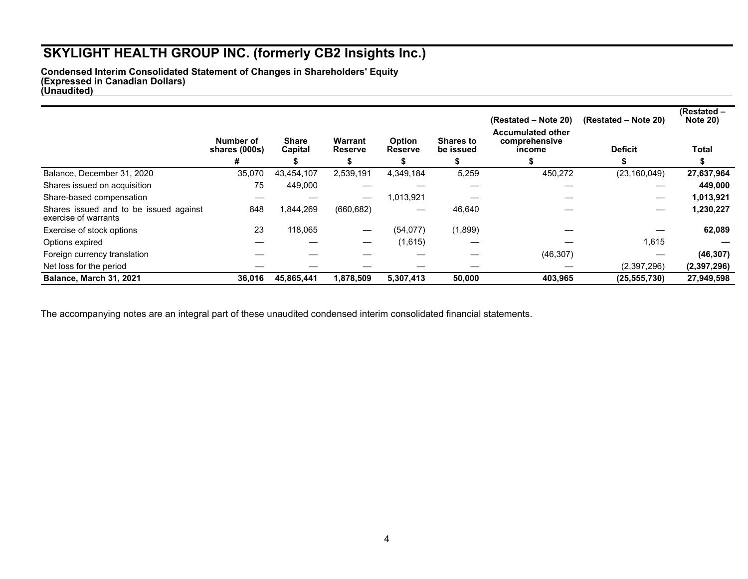**Condensed Interim Consolidated Statement of Changes in Shareholders' Equity (Expressed in Canadian Dollars) (Unaudited)** 

|                                                                |                            |                         |                                  |                                 |                               | (Restated – Note 20)                                | (Restated – Note 20) | (Restated -<br><b>Note 20)</b> |
|----------------------------------------------------------------|----------------------------|-------------------------|----------------------------------|---------------------------------|-------------------------------|-----------------------------------------------------|----------------------|--------------------------------|
|                                                                | Number of<br>shares (000s) | <b>Share</b><br>Capital | <b>Warrant</b><br><b>Reserve</b> | <b>Option</b><br><b>Reserve</b> | <b>Shares to</b><br>be issued | <b>Accumulated other</b><br>comprehensive<br>income | <b>Deficit</b>       | Total                          |
|                                                                | #                          |                         |                                  |                                 |                               |                                                     |                      |                                |
| Balance, December 31, 2020                                     | 35,070                     | 43,454,107              | 2,539,191                        | 4,349,184                       | 5,259                         | 450,272                                             | (23, 160, 049)       | 27,637,964                     |
| Shares issued on acquisition                                   | 75                         | 449,000                 |                                  |                                 |                               |                                                     |                      | 449,000                        |
| Share-based compensation                                       |                            |                         | $\hspace{0.05cm}$                | 1,013,921                       |                               |                                                     | –                    | 1,013,921                      |
| Shares issued and to be issued against<br>exercise of warrants | 848                        | 1,844,269               | (660, 682)                       |                                 | 46,640                        |                                                     | –                    | 1,230,227                      |
| Exercise of stock options                                      | 23                         | 118,065                 |                                  | (54, 077)                       | (1,899)                       |                                                     |                      | 62,089                         |
| Options expired                                                |                            |                         |                                  | (1,615)                         |                               |                                                     | 1,615                |                                |
| Foreign currency translation                                   |                            |                         |                                  |                                 |                               | (46, 307)                                           |                      | (46, 307)                      |
| Net loss for the period                                        |                            |                         |                                  |                                 |                               |                                                     | (2,397,296)          | (2,397,296)                    |
| Balance, March 31, 2021                                        | 36,016                     | 45,865,441              | 1,878,509                        | 5,307,413                       | 50,000                        | 403,965                                             | (25, 555, 730)       | 27,949,598                     |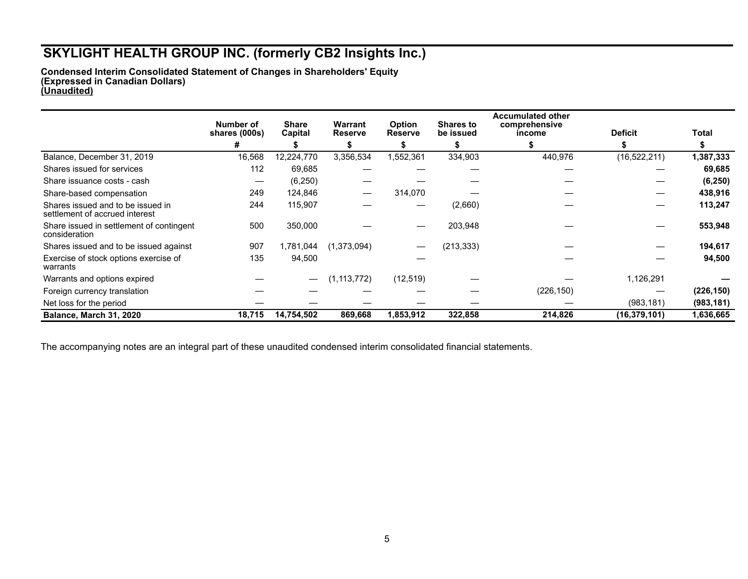**Condensed Interim Consolidated Statement of Changes in Shareholders' Equity (Expressed in Canadian Dollars) (Unaudited)**

|                                                                     | Number of<br>shares (000s) | <b>Share</b><br>Capital | Warrant<br><b>Reserve</b> | <b>Option</b><br><b>Reserve</b> | <b>Shares to</b><br>be issued | <b>Accumulated other</b><br>comprehensive<br>income | <b>Deficit</b> | Total      |
|---------------------------------------------------------------------|----------------------------|-------------------------|---------------------------|---------------------------------|-------------------------------|-----------------------------------------------------|----------------|------------|
|                                                                     | #                          |                         |                           |                                 |                               |                                                     |                |            |
| Balance, December 31, 2019                                          | 16,568                     | 12,224,770              | 3,356,534                 | 1,552,361                       | 334,903                       | 440,976                                             | (16, 522, 211) | 1,387,333  |
| Shares issued for services                                          | 112                        | 69,685                  |                           |                                 |                               |                                                     |                | 69,685     |
| Share issuance costs - cash                                         | —                          | (6, 250)                |                           |                                 |                               |                                                     |                | (6, 250)   |
| Share-based compensation                                            | 249                        | 124,846                 |                           | 314,070                         |                               |                                                     |                | 438,916    |
| Shares issued and to be issued in<br>settlement of accrued interest | 244                        | 115.907                 |                           |                                 | (2,660)                       |                                                     |                | 113,247    |
| Share issued in settlement of contingent<br>consideration           | 500                        | 350,000                 |                           |                                 | 203,948                       |                                                     |                | 553,948    |
| Shares issued and to be issued against                              | 907                        | 1,781,044               | (1,373,094)               |                                 | (213, 333)                    |                                                     |                | 194,617    |
| Exercise of stock options exercise of<br>warrants                   | 135                        | 94,500                  |                           |                                 |                               |                                                     |                | 94,500     |
| Warrants and options expired                                        |                            | —                       | (1, 113, 772)             | (12, 519)                       |                               |                                                     | 1,126,291      |            |
| Foreign currency translation                                        |                            |                         |                           |                                 |                               | (226, 150)                                          |                | (226, 150) |
| Net loss for the period                                             |                            |                         |                           |                                 |                               |                                                     | (983, 181)     | (983, 181) |
| Balance, March 31, 2020                                             | 18,715                     | 14,754,502              | 869,668                   | 1,853,912                       | 322,858                       | 214,826                                             | (16, 379, 101) | 1,636,665  |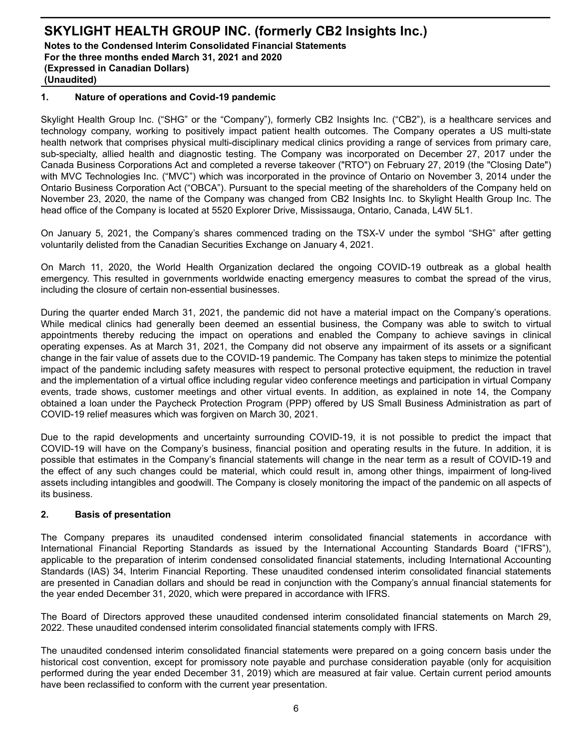## **1. Nature of operations and Covid-19 pandemic**

Skylight Health Group Inc. ("SHG" or the "Company"), formerly CB2 Insights Inc. ("CB2"), is a healthcare services and technology company, working to positively impact patient health outcomes. The Company operates a US multi-state health network that comprises physical multi-disciplinary medical clinics providing a range of services from primary care, sub-specialty, allied health and diagnostic testing. The Company was incorporated on December 27, 2017 under the Canada Business Corporations Act and completed a reverse takeover ("RTO") on February 27, 2019 (the "Closing Date") with MVC Technologies Inc. ("MVC") which was incorporated in the province of Ontario on November 3, 2014 under the Ontario Business Corporation Act ("OBCA"). Pursuant to the special meeting of the shareholders of the Company held on November 23, 2020, the name of the Company was changed from CB2 Insights Inc. to Skylight Health Group Inc. The head office of the Company is located at 5520 Explorer Drive, Mississauga, Ontario, Canada, L4W 5L1.

On January 5, 2021, the Company's shares commenced trading on the TSX-V under the symbol "SHG" after getting voluntarily delisted from the Canadian Securities Exchange on January 4, 2021.

On March 11, 2020, the World Health Organization declared the ongoing COVID-19 outbreak as a global health emergency. This resulted in governments worldwide enacting emergency measures to combat the spread of the virus, including the closure of certain non-essential businesses.

During the quarter ended March 31, 2021, the pandemic did not have a material impact on the Company's operations. While medical clinics had generally been deemed an essential business, the Company was able to switch to virtual appointments thereby reducing the impact on operations and enabled the Company to achieve savings in clinical operating expenses. As at March 31, 2021, the Company did not observe any impairment of its assets or a significant change in the fair value of assets due to the COVID-19 pandemic. The Company has taken steps to minimize the potential impact of the pandemic including safety measures with respect to personal protective equipment, the reduction in travel and the implementation of a virtual office including regular video conference meetings and participation in virtual Company events, trade shows, customer meetings and other virtual events. In addition, as explained in note 14, the Company obtained a loan under the Paycheck Protection Program (PPP) offered by US Small Business Administration as part of COVID-19 relief measures which was forgiven on March 30, 2021.

Due to the rapid developments and uncertainty surrounding COVID-19, it is not possible to predict the impact that COVID-19 will have on the Company's business, financial position and operating results in the future. In addition, it is possible that estimates in the Company's financial statements will change in the near term as a result of COVID-19 and the effect of any such changes could be material, which could result in, among other things, impairment of long-lived assets including intangibles and goodwill. The Company is closely monitoring the impact of the pandemic on all aspects of its business.

## **2. Basis of presentation**

The Company prepares its unaudited condensed interim consolidated financial statements in accordance with International Financial Reporting Standards as issued by the International Accounting Standards Board ("IFRS"), applicable to the preparation of interim condensed consolidated financial statements, including International Accounting Standards (IAS) 34, Interim Financial Reporting. These unaudited condensed interim consolidated financial statements are presented in Canadian dollars and should be read in conjunction with the Company's annual financial statements for the year ended December 31, 2020, which were prepared in accordance with IFRS.

The Board of Directors approved these unaudited condensed interim consolidated financial statements on March 29, 2022. These unaudited condensed interim consolidated financial statements comply with IFRS.

The unaudited condensed interim consolidated financial statements were prepared on a going concern basis under the historical cost convention, except for promissory note payable and purchase consideration payable (only for acquisition performed during the year ended December 31, 2019) which are measured at fair value. Certain current period amounts have been reclassified to conform with the current year presentation.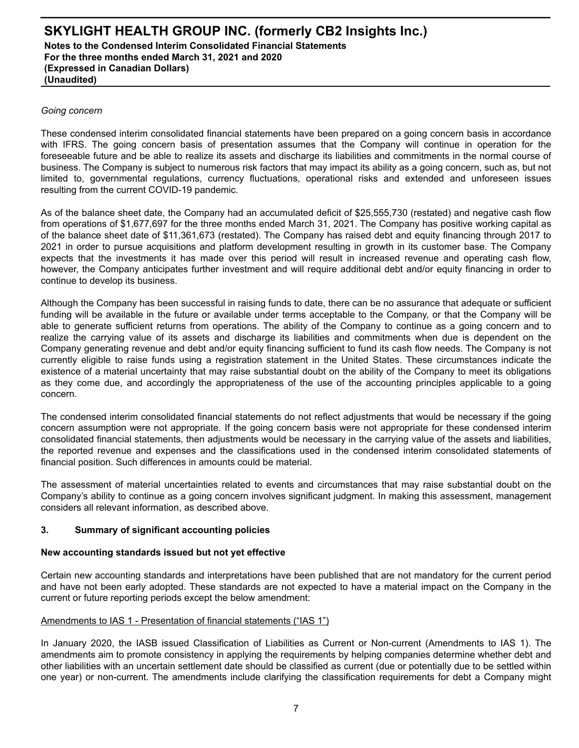#### *Going concern*

These condensed interim consolidated financial statements have been prepared on a going concern basis in accordance with IFRS. The going concern basis of presentation assumes that the Company will continue in operation for the foreseeable future and be able to realize its assets and discharge its liabilities and commitments in the normal course of business. The Company is subject to numerous risk factors that may impact its ability as a going concern, such as, but not limited to, governmental regulations, currency fluctuations, operational risks and extended and unforeseen issues resulting from the current COVID-19 pandemic.

As of the balance sheet date, the Company had an accumulated deficit of \$25,555,730 (restated) and negative cash flow from operations of \$1,677,697 for the three months ended March 31, 2021. The Company has positive working capital as of the balance sheet date of \$11,361,673 (restated). The Company has raised debt and equity financing through 2017 to 2021 in order to pursue acquisitions and platform development resulting in growth in its customer base. The Company expects that the investments it has made over this period will result in increased revenue and operating cash flow, however, the Company anticipates further investment and will require additional debt and/or equity financing in order to continue to develop its business.

Although the Company has been successful in raising funds to date, there can be no assurance that adequate or sufficient funding will be available in the future or available under terms acceptable to the Company, or that the Company will be able to generate sufficient returns from operations. The ability of the Company to continue as a going concern and to realize the carrying value of its assets and discharge its liabilities and commitments when due is dependent on the Company generating revenue and debt and/or equity financing sufficient to fund its cash flow needs. The Company is not currently eligible to raise funds using a registration statement in the United States. These circumstances indicate the existence of a material uncertainty that may raise substantial doubt on the ability of the Company to meet its obligations as they come due, and accordingly the appropriateness of the use of the accounting principles applicable to a going concern.

The condensed interim consolidated financial statements do not reflect adjustments that would be necessary if the going concern assumption were not appropriate. If the going concern basis were not appropriate for these condensed interim consolidated financial statements, then adjustments would be necessary in the carrying value of the assets and liabilities, the reported revenue and expenses and the classifications used in the condensed interim consolidated statements of financial position. Such differences in amounts could be material.

The assessment of material uncertainties related to events and circumstances that may raise substantial doubt on the Company's ability to continue as a going concern involves significant judgment. In making this assessment, management considers all relevant information, as described above.

### **3. Summary of significant accounting policies**

#### **New accounting standards issued but not yet effective**

Certain new accounting standards and interpretations have been published that are not mandatory for the current period and have not been early adopted. These standards are not expected to have a material impact on the Company in the current or future reporting periods except the below amendment:

### Amendments to IAS 1 - Presentation of financial statements ("IAS 1")

In January 2020, the IASB issued Classification of Liabilities as Current or Non-current (Amendments to IAS 1). The amendments aim to promote consistency in applying the requirements by helping companies determine whether debt and other liabilities with an uncertain settlement date should be classified as current (due or potentially due to be settled within one year) or non-current. The amendments include clarifying the classification requirements for debt a Company might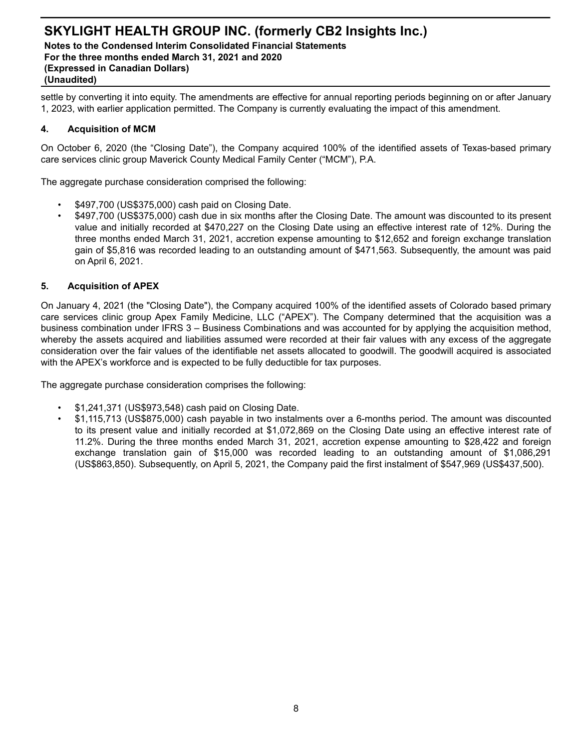**Notes to the Condensed Interim Consolidated Financial Statements For the three months ended March 31, 2021 and 2020 (Expressed in Canadian Dollars) (Unaudited)**

settle by converting it into equity. The amendments are effective for annual reporting periods beginning on or after January 1, 2023, with earlier application permitted. The Company is currently evaluating the impact of this amendment.

#### **4. Acquisition of MCM**

On October 6, 2020 (the "Closing Date"), the Company acquired 100% of the identified assets of Texas-based primary care services clinic group Maverick County Medical Family Center ("MCM"), P.A.

The aggregate purchase consideration comprised the following:

- \$497,700 (US\$375,000) cash paid on Closing Date.
- \$497,700 (US\$375,000) cash due in six months after the Closing Date. The amount was discounted to its present value and initially recorded at \$470,227 on the Closing Date using an effective interest rate of 12%. During the three months ended March 31, 2021, accretion expense amounting to \$12,652 and foreign exchange translation gain of \$5,816 was recorded leading to an outstanding amount of \$471,563. Subsequently, the amount was paid on April 6, 2021.

#### **5. Acquisition of APEX**

On January 4, 2021 (the "Closing Date"), the Company acquired 100% of the identified assets of Colorado based primary care services clinic group Apex Family Medicine, LLC ("APEX"). The Company determined that the acquisition was a business combination under IFRS 3 – Business Combinations and was accounted for by applying the acquisition method, whereby the assets acquired and liabilities assumed were recorded at their fair values with any excess of the aggregate consideration over the fair values of the identifiable net assets allocated to goodwill. The goodwill acquired is associated with the APEX's workforce and is expected to be fully deductible for tax purposes.

The aggregate purchase consideration comprises the following:

- \$1,241,371 (US\$973,548) cash paid on Closing Date.
- \$1,115,713 (US\$875,000) cash payable in two instalments over a 6-months period. The amount was discounted to its present value and initially recorded at \$1,072,869 on the Closing Date using an effective interest rate of 11.2%. During the three months ended March 31, 2021, accretion expense amounting to \$28,422 and foreign exchange translation gain of \$15,000 was recorded leading to an outstanding amount of \$1,086,291 (US\$863,850). Subsequently, on April 5, 2021, the Company paid the first instalment of \$547,969 (US\$437,500).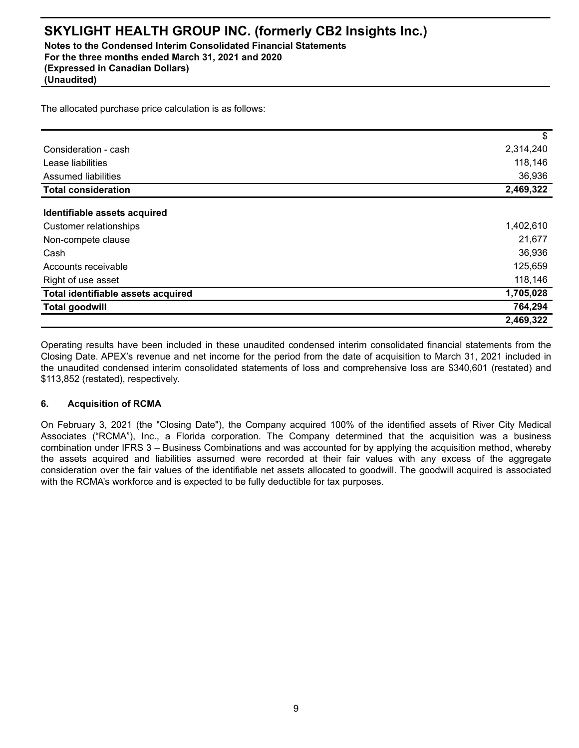**Notes to the Condensed Interim Consolidated Financial Statements For the three months ended March 31, 2021 and 2020 (Expressed in Canadian Dollars)**

**(Unaudited)**

The allocated purchase price calculation is as follows:

|                                    | \$        |
|------------------------------------|-----------|
| Consideration - cash               | 2,314,240 |
| Lease liabilities                  | 118,146   |
| Assumed liabilities                | 36,936    |
| <b>Total consideration</b>         | 2,469,322 |
|                                    |           |
| Identifiable assets acquired       |           |
| Customer relationships             | 1,402,610 |
| Non-compete clause                 | 21,677    |
| Cash                               | 36,936    |
| Accounts receivable                | 125,659   |
| Right of use asset                 | 118,146   |
| Total identifiable assets acquired | 1,705,028 |
| <b>Total goodwill</b>              | 764,294   |
|                                    | 2,469,322 |

Operating results have been included in these unaudited condensed interim consolidated financial statements from the Closing Date. APEX's revenue and net income for the period from the date of acquisition to March 31, 2021 included in the unaudited condensed interim consolidated statements of loss and comprehensive loss are \$340,601 (restated) and \$113,852 (restated), respectively.

### **6. Acquisition of RCMA**

On February 3, 2021 (the "Closing Date"), the Company acquired 100% of the identified assets of River City Medical Associates ("RCMA"), Inc., a Florida corporation. The Company determined that the acquisition was a business combination under IFRS 3 – Business Combinations and was accounted for by applying the acquisition method, whereby the assets acquired and liabilities assumed were recorded at their fair values with any excess of the aggregate consideration over the fair values of the identifiable net assets allocated to goodwill. The goodwill acquired is associated with the RCMA's workforce and is expected to be fully deductible for tax purposes.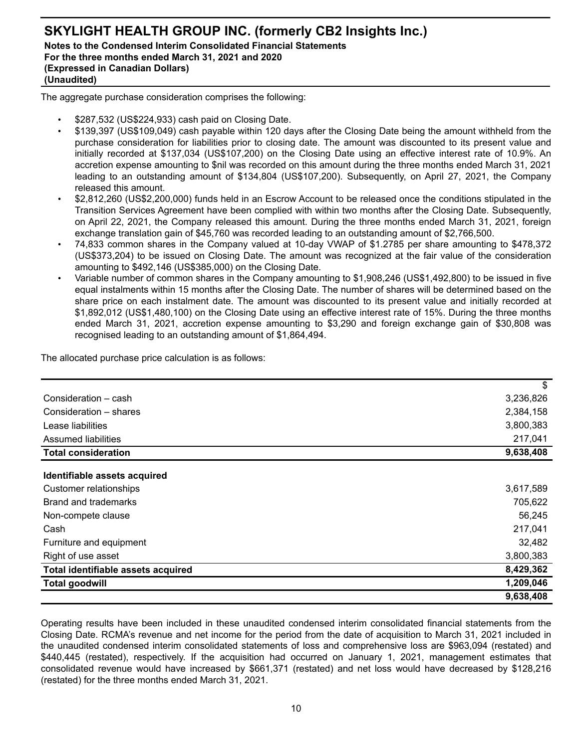## **SKYLIGHT HEALTH GROUP INC. (formerly CB2 Insights Inc.) Notes to the Condensed Interim Consolidated Financial Statements For the three months ended March 31, 2021 and 2020 (Expressed in Canadian Dollars) (Unaudited)**

The aggregate purchase consideration comprises the following:

- \$287,532 (US\$224,933) cash paid on Closing Date.
- \$139,397 (US\$109,049) cash payable within 120 days after the Closing Date being the amount withheld from the purchase consideration for liabilities prior to closing date. The amount was discounted to its present value and initially recorded at \$137,034 (US\$107,200) on the Closing Date using an effective interest rate of 10.9%. An accretion expense amounting to \$nil was recorded on this amount during the three months ended March 31, 2021 leading to an outstanding amount of \$134,804 (US\$107,200). Subsequently, on April 27, 2021, the Company released this amount.
- \$2,812,260 (US\$2,200,000) funds held in an Escrow Account to be released once the conditions stipulated in the Transition Services Agreement have been complied with within two months after the Closing Date. Subsequently, on April 22, 2021, the Company released this amount. During the three months ended March 31, 2021, foreign exchange translation gain of \$45,760 was recorded leading to an outstanding amount of \$2,766,500.
- 74,833 common shares in the Company valued at 10-day VWAP of \$1.2785 per share amounting to \$478,372 (US\$373,204) to be issued on Closing Date. The amount was recognized at the fair value of the consideration amounting to \$492,146 (US\$385,000) on the Closing Date.
- Variable number of common shares in the Company amounting to \$1,908,246 (US\$1,492,800) to be issued in five equal instalments within 15 months after the Closing Date. The number of shares will be determined based on the share price on each instalment date. The amount was discounted to its present value and initially recorded at \$1,892,012 (US\$1,480,100) on the Closing Date using an effective interest rate of 15%. During the three months ended March 31, 2021, accretion expense amounting to \$3,290 and foreign exchange gain of \$30,808 was recognised leading to an outstanding amount of \$1,864,494.

The allocated purchase price calculation is as follows:

|                                    | \$        |
|------------------------------------|-----------|
| Consideration - cash               | 3,236,826 |
| Consideration – shares             | 2,384,158 |
| Lease liabilities                  | 3,800,383 |
| Assumed liabilities                | 217,041   |
| <b>Total consideration</b>         | 9,638,408 |
|                                    |           |
| Identifiable assets acquired       |           |
| Customer relationships             | 3,617,589 |
| Brand and trademarks               | 705,622   |
| Non-compete clause                 | 56,245    |
| Cash                               | 217,041   |
| Furniture and equipment            | 32,482    |
| Right of use asset                 | 3,800,383 |
| Total identifiable assets acquired | 8,429,362 |
| <b>Total goodwill</b>              | 1,209,046 |
|                                    | 9,638,408 |

Operating results have been included in these unaudited condensed interim consolidated financial statements from the Closing Date. RCMA's revenue and net income for the period from the date of acquisition to March 31, 2021 included in the unaudited condensed interim consolidated statements of loss and comprehensive loss are \$963,094 (restated) and \$440,445 (restated), respectively. If the acquisition had occurred on January 1, 2021, management estimates that consolidated revenue would have increased by \$661,371 (restated) and net loss would have decreased by \$128,216 (restated) for the three months ended March 31, 2021.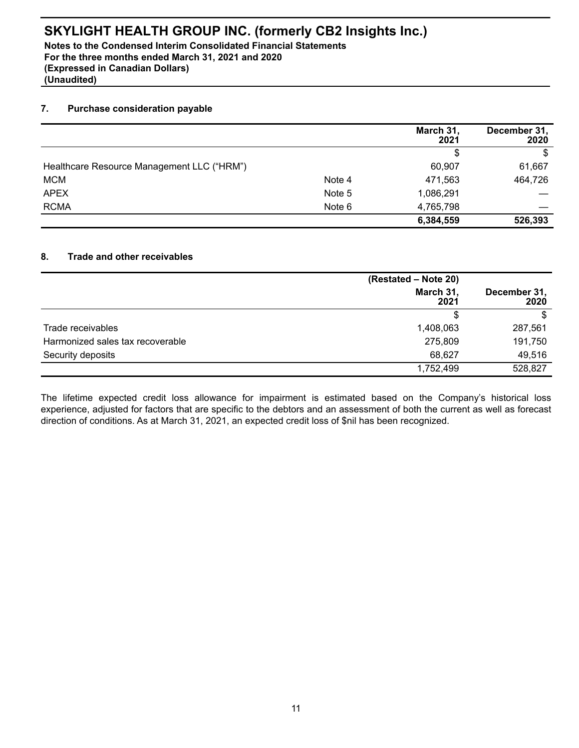**Notes to the Condensed Interim Consolidated Financial Statements For the three months ended March 31, 2021 and 2020 (Expressed in Canadian Dollars) (Unaudited)**

#### **7. Purchase consideration payable**

|                                            |        | March 31,<br>2021 | December 31,<br>2020 |
|--------------------------------------------|--------|-------------------|----------------------|
|                                            |        | \$                | \$                   |
| Healthcare Resource Management LLC ("HRM") |        | 60,907            | 61,667               |
| <b>MCM</b>                                 | Note 4 | 471,563           | 464,726              |
| <b>APEX</b>                                | Note 5 | 1,086,291         |                      |
| <b>RCMA</b>                                | Note 6 | 4,765,798         |                      |
|                                            |        | 6,384,559         | 526,393              |

#### **8. Trade and other receivables**

|                                  | (Restated - Note 20) |                      |  |
|----------------------------------|----------------------|----------------------|--|
|                                  | March 31,<br>2021    | December 31,<br>2020 |  |
|                                  | \$                   |                      |  |
| Trade receivables                | 1,408,063            | 287,561              |  |
| Harmonized sales tax recoverable | 275,809              | 191,750              |  |
| Security deposits                | 68,627               | 49,516               |  |
|                                  | 1,752,499            | 528,827              |  |

The lifetime expected credit loss allowance for impairment is estimated based on the Company's historical loss experience, adjusted for factors that are specific to the debtors and an assessment of both the current as well as forecast direction of conditions. As at March 31, 2021, an expected credit loss of \$nil has been recognized.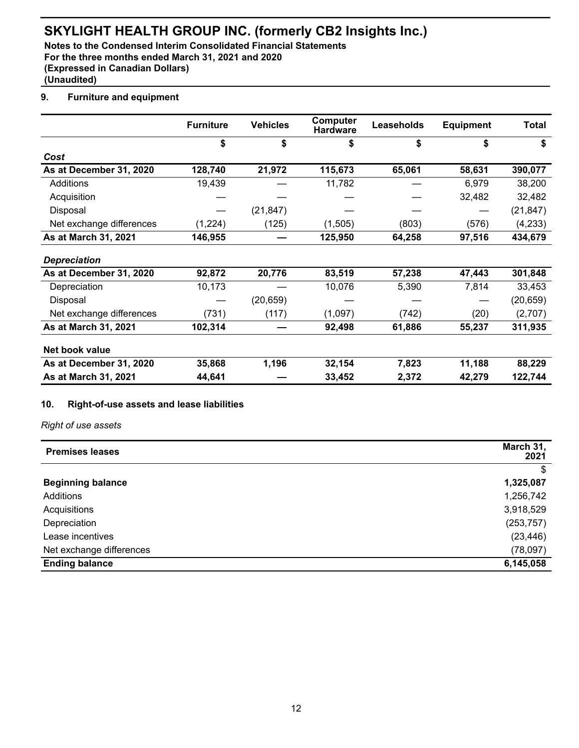**Notes to the Condensed Interim Consolidated Financial Statements For the three months ended March 31, 2021 and 2020 (Expressed in Canadian Dollars) (Unaudited)**

## **9. Furniture and equipment**

|                          | <b>Furniture</b> | <b>Vehicles</b> | Computer<br><b>Hardware</b> | Leaseholds | <b>Equipment</b> | Total     |
|--------------------------|------------------|-----------------|-----------------------------|------------|------------------|-----------|
|                          | \$               | \$              | \$                          | \$         | \$               | \$        |
| Cost                     |                  |                 |                             |            |                  |           |
| As at December 31, 2020  | 128,740          | 21,972          | 115,673                     | 65,061     | 58,631           | 390,077   |
| Additions                | 19,439           |                 | 11,782                      |            | 6,979            | 38,200    |
| Acquisition              |                  |                 |                             |            | 32,482           | 32,482    |
| Disposal                 |                  | (21, 847)       |                             |            |                  | (21, 847) |
| Net exchange differences | (1,224)          | (125)           | (1,505)                     | (803)      | (576)            | (4,233)   |
| As at March 31, 2021     | 146,955          |                 | 125,950                     | 64,258     | 97,516           | 434,679   |
| <b>Depreciation</b>      |                  |                 |                             |            |                  |           |
| As at December 31, 2020  | 92,872           | 20,776          | 83,519                      | 57,238     | 47,443           | 301,848   |
| Depreciation             | 10,173           |                 | 10,076                      | 5,390      | 7,814            | 33,453    |
| Disposal                 |                  | (20, 659)       |                             |            |                  | (20, 659) |
| Net exchange differences | (731)            | (117)           | (1,097)                     | (742)      | (20)             | (2,707)   |
| As at March 31, 2021     | 102,314          |                 | 92,498                      | 61,886     | 55,237           | 311,935   |
| Net book value           |                  |                 |                             |            |                  |           |
| As at December 31, 2020  | 35,868           | 1,196           | 32,154                      | 7,823      | 11,188           | 88,229    |
| As at March 31, 2021     | 44,641           |                 | 33,452                      | 2,372      | 42,279           | 122,744   |

### **10. Right-of-use assets and lease liabilities**

*Right of use assets*

| <b>Premises leases</b>   | March 31,<br>2021 |
|--------------------------|-------------------|
|                          | \$                |
| <b>Beginning balance</b> | 1,325,087         |
| Additions                | 1,256,742         |
| Acquisitions             | 3,918,529         |
| Depreciation             | (253, 757)        |
| Lease incentives         | (23, 446)         |
| Net exchange differences | (78,097)          |
| <b>Ending balance</b>    | 6,145,058         |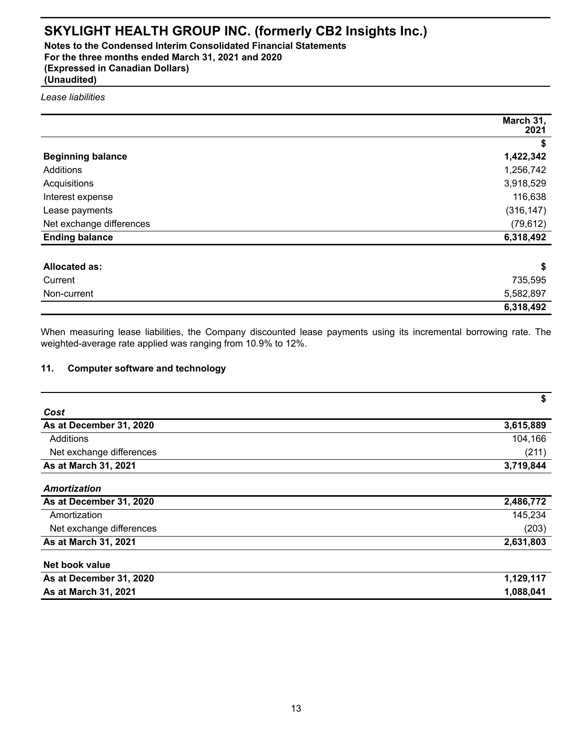**Notes to the Condensed Interim Consolidated Financial Statements For the three months ended March 31, 2021 and 2020 (Expressed in Canadian Dollars) (Unaudited)**

*Lease liabilities*

|                          | March 31,<br>2021 |
|--------------------------|-------------------|
|                          |                   |
| <b>Beginning balance</b> | 1,422,342         |
| Additions                | 1,256,742         |
| Acquisitions             | 3,918,529         |
| Interest expense         | 116,638           |
| Lease payments           | (316, 147)        |
| Net exchange differences | (79, 612)         |
| <b>Ending balance</b>    | 6,318,492         |
| allocated as:            | ¢                 |

| <b>Allocated as:</b> | ¢<br>Ð    |
|----------------------|-----------|
| Current              | 735,595   |
| Non-current          | 5,582,897 |
|                      | 6,318,492 |

When measuring lease liabilities, the Company discounted lease payments using its incremental borrowing rate. The weighted-average rate applied was ranging from 10.9% to 12%.

## **11. Computer software and technology**

|                          | \$        |
|--------------------------|-----------|
| Cost                     |           |
| As at December 31, 2020  | 3,615,889 |
| Additions                | 104,166   |
| Net exchange differences | (211)     |
| As at March 31, 2021     | 3,719,844 |
| Amortization             |           |
| As at December 31, 2020  | 2,486,772 |
| Amortization             | 145,234   |
| Net exchange differences | (203)     |
| As at March 31, 2021     | 2,631,803 |
| Net book value           |           |
| As at December 31, 2020  | 1,129,117 |
| As at March 31, 2021     | 1,088,041 |
|                          |           |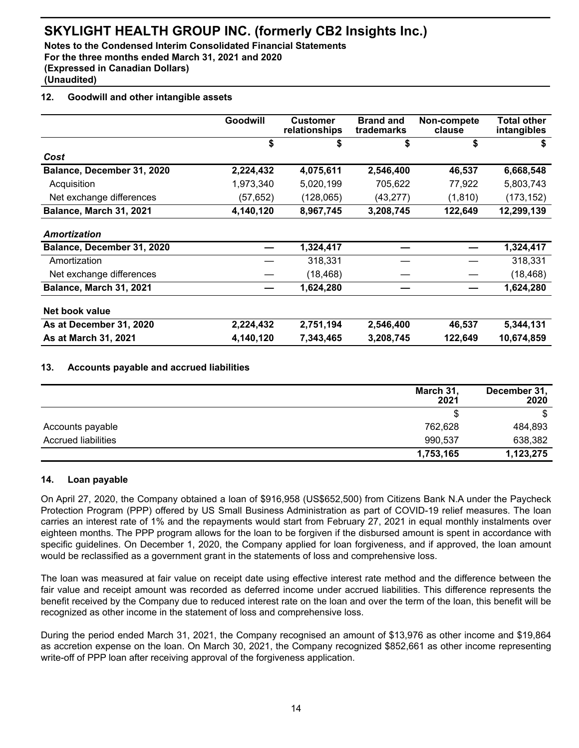**Notes to the Condensed Interim Consolidated Financial Statements For the three months ended March 31, 2021 and 2020 (Expressed in Canadian Dollars) (Unaudited)**

## **12. Goodwill and other intangible assets**

|                            | Goodwill  | <b>Customer</b><br>relationships | <b>Brand and</b><br>trademarks | Non-compete<br>clause | <b>Total other</b><br>intangibles |
|----------------------------|-----------|----------------------------------|--------------------------------|-----------------------|-----------------------------------|
|                            | \$        | S                                | \$                             | \$                    | S                                 |
| Cost                       |           |                                  |                                |                       |                                   |
| Balance, December 31, 2020 | 2,224,432 | 4,075,611                        | 2,546,400                      | 46,537                | 6,668,548                         |
| Acquisition                | 1,973,340 | 5,020,199                        | 705,622                        | 77,922                | 5,803,743                         |
| Net exchange differences   | (57, 652) | (128,065)                        | (43, 277)                      | (1, 810)              | (173, 152)                        |
| Balance, March 31, 2021    | 4,140,120 | 8,967,745                        | 3,208,745                      | 122,649               | 12,299,139                        |
| Amortization               |           |                                  |                                |                       |                                   |
| Balance, December 31, 2020 |           | 1,324,417                        |                                |                       | 1,324,417                         |
| Amortization               |           | 318,331                          |                                |                       | 318,331                           |
| Net exchange differences   |           | (18,468)                         |                                |                       | (18, 468)                         |
| Balance, March 31, 2021    |           | 1,624,280                        |                                |                       | 1,624,280                         |
| Net book value             |           |                                  |                                |                       |                                   |
| As at December 31, 2020    | 2,224,432 | 2,751,194                        | 2,546,400                      | 46,537                | 5,344,131                         |
| As at March 31, 2021       | 4,140,120 | 7.343.465                        | 3,208,745                      | 122.649               | 10,674,859                        |

## **13. Accounts payable and accrued liabilities**

|                            | March 31,<br>2021 | December 31,<br>2020 |
|----------------------------|-------------------|----------------------|
|                            |                   | \$                   |
| Accounts payable           | 762,628           | 484,893              |
| <b>Accrued liabilities</b> | 990,537           | 638,382              |
|                            | 1,753,165         | 1,123,275            |

### **14. Loan payable**

On April 27, 2020, the Company obtained a loan of \$916,958 (US\$652,500) from Citizens Bank N.A under the Paycheck Protection Program (PPP) offered by US Small Business Administration as part of COVID-19 relief measures. The loan carries an interest rate of 1% and the repayments would start from February 27, 2021 in equal monthly instalments over eighteen months. The PPP program allows for the loan to be forgiven if the disbursed amount is spent in accordance with specific guidelines. On December 1, 2020, the Company applied for loan forgiveness, and if approved, the loan amount would be reclassified as a government grant in the statements of loss and comprehensive loss.

The loan was measured at fair value on receipt date using effective interest rate method and the difference between the fair value and receipt amount was recorded as deferred income under accrued liabilities. This difference represents the benefit received by the Company due to reduced interest rate on the loan and over the term of the loan, this benefit will be recognized as other income in the statement of loss and comprehensive loss.

During the period ended March 31, 2021, the Company recognised an amount of \$13,976 as other income and \$19,864 as accretion expense on the loan. On March 30, 2021, the Company recognized \$852,661 as other income representing write-off of PPP loan after receiving approval of the forgiveness application.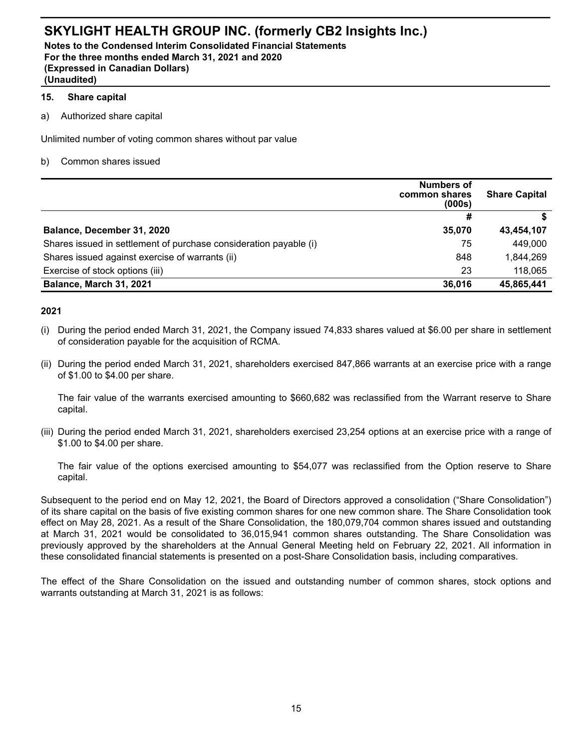**Notes to the Condensed Interim Consolidated Financial Statements For the three months ended March 31, 2021 and 2020 (Expressed in Canadian Dollars) (Unaudited)**

#### **15. Share capital**

a) Authorized share capital

Unlimited number of voting common shares without par value

b) Common shares issued

|                                                                   | <b>Numbers of</b><br>common shares<br>(000s) | <b>Share Capital</b> |
|-------------------------------------------------------------------|----------------------------------------------|----------------------|
|                                                                   | #                                            |                      |
| Balance, December 31, 2020                                        | 35,070                                       | 43,454,107           |
| Shares issued in settlement of purchase consideration payable (i) | 75                                           | 449,000              |
| Shares issued against exercise of warrants (ii)                   | 848                                          | 1,844,269            |
| Exercise of stock options (iii)                                   | 23                                           | 118,065              |
| Balance, March 31, 2021                                           | 36,016                                       | 45,865,441           |

### **2021**

- (i) During the period ended March 31, 2021, the Company issued 74,833 shares valued at \$6.00 per share in settlement of consideration payable for the acquisition of RCMA.
- (ii) During the period ended March 31, 2021, shareholders exercised 847,866 warrants at an exercise price with a range of \$1.00 to \$4.00 per share.

The fair value of the warrants exercised amounting to \$660,682 was reclassified from the Warrant reserve to Share capital.

(iii) During the period ended March 31, 2021, shareholders exercised 23,254 options at an exercise price with a range of \$1.00 to \$4.00 per share.

The fair value of the options exercised amounting to \$54,077 was reclassified from the Option reserve to Share capital.

Subsequent to the period end on May 12, 2021, the Board of Directors approved a consolidation ("Share Consolidation") of its share capital on the basis of five existing common shares for one new common share. The Share Consolidation took effect on May 28, 2021. As a result of the Share Consolidation, the 180,079,704 common shares issued and outstanding at March 31, 2021 would be consolidated to 36,015,941 common shares outstanding. The Share Consolidation was previously approved by the shareholders at the Annual General Meeting held on February 22, 2021. All information in these consolidated financial statements is presented on a post-Share Consolidation basis, including comparatives.

The effect of the Share Consolidation on the issued and outstanding number of common shares, stock options and warrants outstanding at March 31, 2021 is as follows: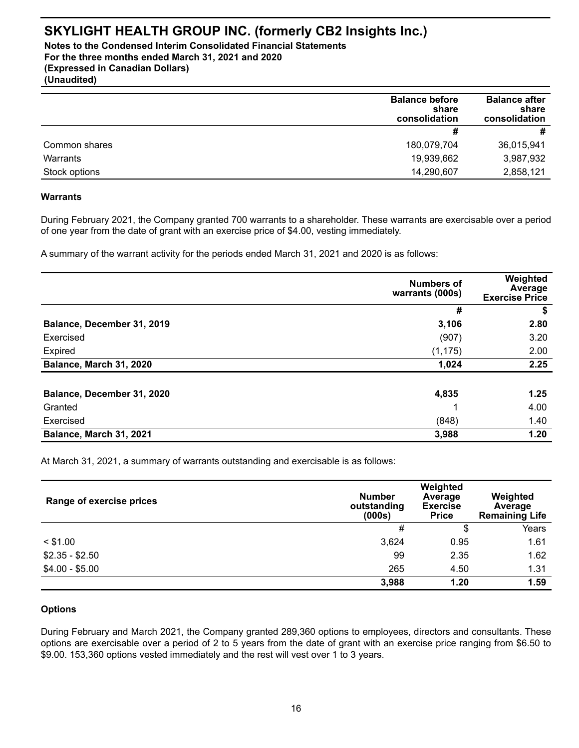**Notes to the Condensed Interim Consolidated Financial Statements For the three months ended March 31, 2021 and 2020 (Expressed in Canadian Dollars) (Unaudited)**

|               | <b>Balance before</b><br>share<br>consolidation | <b>Balance after</b><br>share<br>consolidation |
|---------------|-------------------------------------------------|------------------------------------------------|
|               | #                                               | #                                              |
| Common shares | 180,079,704                                     | 36,015,941                                     |
| Warrants      | 19,939,662                                      | 3,987,932                                      |
| Stock options | 14,290,607                                      | 2,858,121                                      |

#### **Warrants**

During February 2021, the Company granted 700 warrants to a shareholder. These warrants are exercisable over a period of one year from the date of grant with an exercise price of \$4.00, vesting immediately.

A summary of the warrant activity for the periods ended March 31, 2021 and 2020 is as follows:

|                            | <b>Numbers of</b><br>warrants (000s) | Weighted<br>Average<br><b>Exercise Price</b> |
|----------------------------|--------------------------------------|----------------------------------------------|
|                            | #                                    | \$                                           |
| Balance, December 31, 2019 | 3,106                                | 2.80                                         |
| Exercised                  | (907)                                | 3.20                                         |
| Expired                    | (1, 175)                             | 2.00                                         |
| Balance, March 31, 2020    | 1,024                                | 2.25                                         |
| Balance, December 31, 2020 | 4,835                                | 1.25                                         |
| Granted                    |                                      | 4.00                                         |
| Exercised                  | (848)                                | 1.40                                         |
| Balance, March 31, 2021    | 3,988                                | 1.20                                         |

At March 31, 2021, a summary of warrants outstanding and exercisable is as follows:

| Range of exercise prices | <b>Number</b><br>outstanding<br>(000s) | Weighted<br>Average<br><b>Exercise</b><br><b>Price</b> | Weighted<br>Average<br><b>Remaining Life</b> |
|--------------------------|----------------------------------------|--------------------------------------------------------|----------------------------------------------|
|                          | #                                      | \$                                                     | Years                                        |
| $<$ \$1.00               | 3,624                                  | 0.95                                                   | 1.61                                         |
| $$2.35 - $2.50$          | 99                                     | 2.35                                                   | 1.62                                         |
| $$4.00 - $5.00$          | 265                                    | 4.50                                                   | 1.31                                         |
|                          | 3,988                                  | 1.20                                                   | 1.59                                         |

### **Options**

During February and March 2021, the Company granted 289,360 options to employees, directors and consultants. These options are exercisable over a period of 2 to 5 years from the date of grant with an exercise price ranging from \$6.50 to \$9.00. 153,360 options vested immediately and the rest will vest over 1 to 3 years.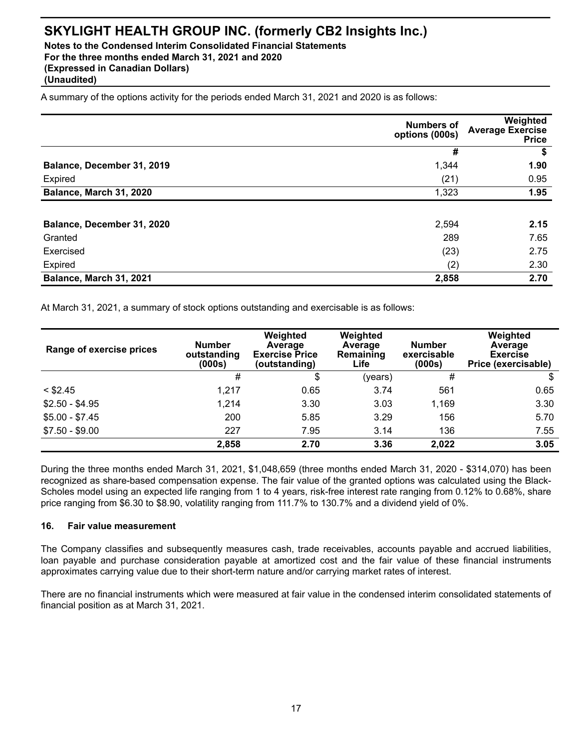**Notes to the Condensed Interim Consolidated Financial Statements For the three months ended March 31, 2021 and 2020 (Expressed in Canadian Dollars)**

**(Unaudited)**

A summary of the options activity for the periods ended March 31, 2021 and 2020 is as follows:

|                            | <b>Numbers of</b><br>options (000s) | Weighted<br><b>Average Exercise</b><br><b>Price</b> |
|----------------------------|-------------------------------------|-----------------------------------------------------|
|                            | #                                   | \$                                                  |
| Balance, December 31, 2019 | 1,344                               | 1.90                                                |
| Expired                    | (21)                                | 0.95                                                |
| Balance, March 31, 2020    | 1,323                               | 1.95                                                |
| Balance, December 31, 2020 | 2,594                               | 2.15                                                |
| Granted                    | 289                                 | 7.65                                                |
| Exercised                  | (23)                                | 2.75                                                |
| Expired                    | (2)                                 | 2.30                                                |
| Balance, March 31, 2021    | 2,858                               | 2.70                                                |

At March 31, 2021, a summary of stock options outstanding and exercisable is as follows:

| Range of exercise prices | <b>Number</b><br>outstanding<br>(000s) | Weighted<br>Average<br><b>Exercise Price</b><br>(outstanding) | Weighted<br>Average<br>Remaining<br>Life | <b>Number</b><br>exercisable<br>(000s) | Weighted<br>Average<br><b>Exercise</b><br>Price (exercisable) |
|--------------------------|----------------------------------------|---------------------------------------------------------------|------------------------------------------|----------------------------------------|---------------------------------------------------------------|
|                          | #                                      | \$                                                            | (years)                                  | #                                      |                                                               |
| $<$ \$2.45               | 1,217                                  | 0.65                                                          | 3.74                                     | 561                                    | 0.65                                                          |
| $$2.50 - $4.95$          | 1,214                                  | 3.30                                                          | 3.03                                     | 1,169                                  | 3.30                                                          |
| $$5.00 - $7.45$          | 200                                    | 5.85                                                          | 3.29                                     | 156                                    | 5.70                                                          |
| $$7.50 - $9.00$          | 227                                    | 7.95                                                          | 3.14                                     | 136                                    | 7.55                                                          |
|                          | 2,858                                  | 2.70                                                          | 3.36                                     | 2,022                                  | 3.05                                                          |

During the three months ended March 31, 2021, \$1,048,659 (three months ended March 31, 2020 - \$314,070) has been recognized as share-based compensation expense. The fair value of the granted options was calculated using the Black-Scholes model using an expected life ranging from 1 to 4 years, risk-free interest rate ranging from 0.12% to 0.68%, share price ranging from \$6.30 to \$8.90, volatility ranging from 111.7% to 130.7% and a dividend yield of 0%.

### **16. Fair value measurement**

The Company classifies and subsequently measures cash, trade receivables, accounts payable and accrued liabilities, loan payable and purchase consideration payable at amortized cost and the fair value of these financial instruments approximates carrying value due to their short-term nature and/or carrying market rates of interest.

There are no financial instruments which were measured at fair value in the condensed interim consolidated statements of financial position as at March 31, 2021.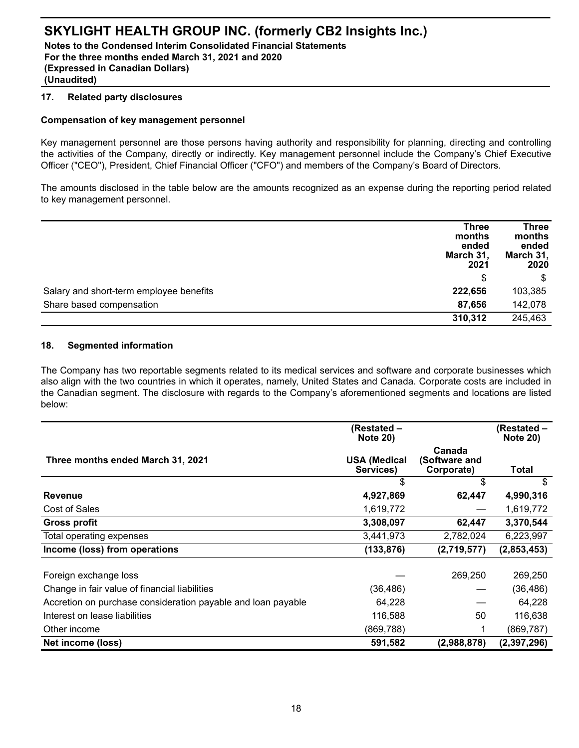**Notes to the Condensed Interim Consolidated Financial Statements For the three months ended March 31, 2021 and 2020 (Expressed in Canadian Dollars) (Unaudited)**

#### **17. Related party disclosures**

### **Compensation of key management personnel**

Key management personnel are those persons having authority and responsibility for planning, directing and controlling the activities of the Company, directly or indirectly. Key management personnel include the Company's Chief Executive Officer ("CEO"), President, Chief Financial Officer ("CFO") and members of the Company's Board of Directors.

The amounts disclosed in the table below are the amounts recognized as an expense during the reporting period related to key management personnel.

|                                         | <b>Three</b><br>months<br>ended<br>March 31,<br>2021 | <b>Three</b><br>months<br>ended<br>March 31,<br>2020 |
|-----------------------------------------|------------------------------------------------------|------------------------------------------------------|
|                                         | \$                                                   | \$                                                   |
| Salary and short-term employee benefits | 222,656                                              | 103,385                                              |
| Share based compensation                | 87,656                                               | 142,078                                              |
|                                         | 310,312                                              | 245,463                                              |

### **18. Segmented information**

The Company has two reportable segments related to its medical services and software and corporate businesses which also align with the two countries in which it operates, namely, United States and Canada. Corporate costs are included in the Canadian segment. The disclosure with regards to the Company's aforementioned segments and locations are listed below:

|                                                              | (Restated –<br><b>Note 20)</b>   |                                       | (Restated –<br><b>Note 20)</b> |
|--------------------------------------------------------------|----------------------------------|---------------------------------------|--------------------------------|
| Three months ended March 31, 2021                            | <b>USA (Medical</b><br>Services) | Canada<br>(Software and<br>Corporate) | Total                          |
|                                                              | \$                               | \$                                    | \$                             |
| <b>Revenue</b>                                               | 4,927,869                        | 62,447                                | 4,990,316                      |
| Cost of Sales                                                | 1,619,772                        |                                       | 1,619,772                      |
| <b>Gross profit</b>                                          | 3,308,097                        | 62,447                                | 3,370,544                      |
| Total operating expenses                                     | 3,441,973                        | 2,782,024                             | 6,223,997                      |
| Income (loss) from operations                                | (133, 876)                       | (2,719,577)                           | (2,853,453)                    |
|                                                              |                                  |                                       |                                |
| Foreign exchange loss                                        |                                  | 269,250                               | 269,250                        |
| Change in fair value of financial liabilities                | (36,486)                         |                                       | (36, 486)                      |
| Accretion on purchase consideration payable and loan payable | 64,228                           |                                       | 64,228                         |
| Interest on lease liabilities                                | 116,588                          | 50                                    | 116,638                        |
| Other income                                                 | (869, 788)                       |                                       | (869, 787)                     |
| Net income (loss)                                            | 591,582                          | (2,988,878)                           | (2,397,296)                    |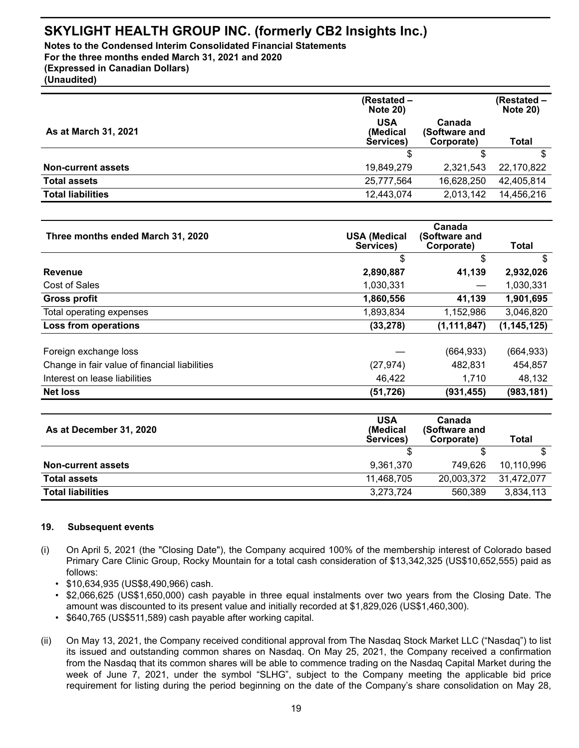**Notes to the Condensed Interim Consolidated Financial Statements For the three months ended March 31, 2021 and 2020 (Expressed in Canadian Dollars)**

**(Unaudited)**

|                             | (Restated -<br><b>Note 20)</b>      |                                       | (Restated –<br><b>Note 20)</b> |
|-----------------------------|-------------------------------------|---------------------------------------|--------------------------------|
| <b>As at March 31, 2021</b> | <b>USA</b><br>(Medical<br>Services) | Canada<br>(Software and<br>Corporate) | Total                          |
|                             |                                     |                                       |                                |
| <b>Non-current assets</b>   | 19,849,279                          | 2.321.543                             | 22,170,822                     |
| <b>Total assets</b>         | 25,777,564                          | 16,628,250                            | 42,405,814                     |
| <b>Total liabilities</b>    | 12,443,074                          | 2,013,142                             | 14,456,216                     |

| Three months ended March 31, 2020             | <b>USA (Medical</b><br>Services) | Canada<br>(Software and<br>Corporate) | Total         |
|-----------------------------------------------|----------------------------------|---------------------------------------|---------------|
|                                               | \$                               | \$                                    | \$            |
| <b>Revenue</b>                                | 2,890,887                        | 41,139                                | 2,932,026     |
| Cost of Sales                                 | 1,030,331                        |                                       | 1,030,331     |
| <b>Gross profit</b>                           | 1,860,556                        | 41,139                                | 1,901,695     |
| Total operating expenses                      | 1,893,834                        | 1,152,986                             | 3,046,820     |
| Loss from operations                          | (33, 278)                        | (1, 111, 847)                         | (1, 145, 125) |
| Foreign exchange loss                         |                                  | (664, 933)                            | (664, 933)    |
| Change in fair value of financial liabilities | (27, 974)                        | 482,831                               | 454,857       |
| Interest on lease liabilities                 | 46,422                           | 1,710                                 | 48,132        |
| <b>Net loss</b>                               | (51, 726)                        | (931, 455)                            | (983, 181)    |

| As at December 31, 2020   | <b>USA</b><br>(Medical<br>Services) | Canada<br>(Software and<br>Corporate) | Total      |
|---------------------------|-------------------------------------|---------------------------------------|------------|
|                           |                                     |                                       |            |
| <b>Non-current assets</b> | 9,361,370                           | 749.626                               | 10,110,996 |
| <b>Total assets</b>       | 11.468.705                          | 20,003,372                            | 31.472.077 |
| <b>Total liabilities</b>  | 3,273,724                           | 560,389                               | 3,834,113  |

### **19. Subsequent events**

- (i) On April 5, 2021 (the "Closing Date"), the Company acquired 100% of the membership interest of Colorado based Primary Care Clinic Group, Rocky Mountain for a total cash consideration of \$13,342,325 (US\$10,652,555) paid as follows:
	- \$10,634,935 (US\$8,490,966) cash.
	- \$2,066,625 (US\$1,650,000) cash payable in three equal instalments over two years from the Closing Date. The amount was discounted to its present value and initially recorded at \$1,829,026 (US\$1,460,300).
	- \$640,765 (US\$511,589) cash payable after working capital.
- (ii) On May 13, 2021, the Company received conditional approval from The Nasdaq Stock Market LLC ("Nasdaq") to list its issued and outstanding common shares on Nasdaq. On May 25, 2021, the Company received a confirmation from the Nasdaq that its common shares will be able to commence trading on the Nasdaq Capital Market during the week of June 7, 2021, under the symbol "SLHG", subject to the Company meeting the applicable bid price requirement for listing during the period beginning on the date of the Company's share consolidation on May 28,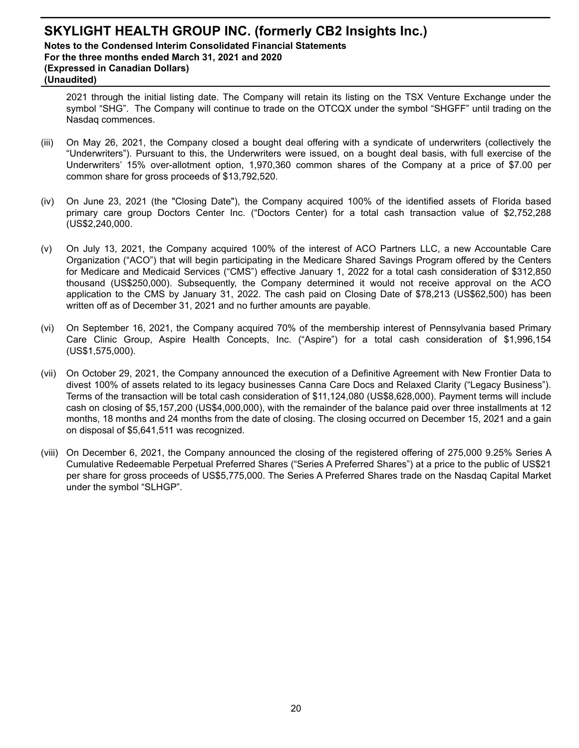## **SKYLIGHT HEALTH GROUP INC. (formerly CB2 Insights Inc.) Notes to the Condensed Interim Consolidated Financial Statements For the three months ended March 31, 2021 and 2020 (Expressed in Canadian Dollars) (Unaudited)**

2021 through the initial listing date. The Company will retain its listing on the TSX Venture Exchange under the symbol "SHG". The Company will continue to trade on the OTCQX under the symbol "SHGFF" until trading on the Nasdaq commences.

- (iii) On May 26, 2021, the Company closed a bought deal offering with a syndicate of underwriters (collectively the "Underwriters"). Pursuant to this, the Underwriters were issued, on a bought deal basis, with full exercise of the Underwriters' 15% over-allotment option, 1,970,360 common shares of the Company at a price of \$7.00 per common share for gross proceeds of \$13,792,520.
- (iv) On June 23, 2021 (the "Closing Date"), the Company acquired 100% of the identified assets of Florida based primary care group Doctors Center Inc. ("Doctors Center) for a total cash transaction value of \$2,752,288 (US\$2,240,000.
- (v) On July 13, 2021, the Company acquired 100% of the interest of ACO Partners LLC, a new Accountable Care Organization ("ACO") that will begin participating in the Medicare Shared Savings Program offered by the Centers for Medicare and Medicaid Services ("CMS") effective January 1, 2022 for a total cash consideration of \$312,850 thousand (US\$250,000). Subsequently, the Company determined it would not receive approval on the ACO application to the CMS by January 31, 2022. The cash paid on Closing Date of \$78,213 (US\$62,500) has been written off as of December 31, 2021 and no further amounts are payable.
- (vi) On September 16, 2021, the Company acquired 70% of the membership interest of Pennsylvania based Primary Care Clinic Group, Aspire Health Concepts, Inc. ("Aspire") for a total cash consideration of \$1,996,154 (US\$1,575,000).
- (vii) On October 29, 2021, the Company announced the execution of a Definitive Agreement with New Frontier Data to divest 100% of assets related to its legacy businesses Canna Care Docs and Relaxed Clarity ("Legacy Business"). Terms of the transaction will be total cash consideration of \$11,124,080 (US\$8,628,000). Payment terms will include cash on closing of \$5,157,200 (US\$4,000,000), with the remainder of the balance paid over three installments at 12 months, 18 months and 24 months from the date of closing. The closing occurred on December 15, 2021 and a gain on disposal of \$5,641,511 was recognized.
- (viii) On December 6, 2021, the Company announced the closing of the registered offering of 275,000 9.25% Series A Cumulative Redeemable Perpetual Preferred Shares ("Series A Preferred Shares") at a price to the public of US\$21 per share for gross proceeds of US\$5,775,000. The Series A Preferred Shares trade on the Nasdaq Capital Market under the symbol "SLHGP".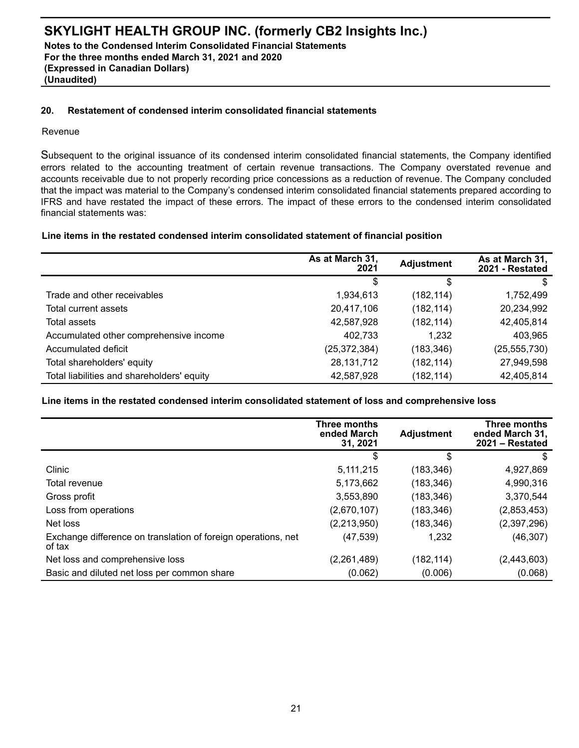**Notes to the Condensed Interim Consolidated Financial Statements For the three months ended March 31, 2021 and 2020 (Expressed in Canadian Dollars) (Unaudited)**

## **20. Restatement of condensed interim consolidated financial statements**

#### Revenue

Subsequent to the original issuance of its condensed interim consolidated financial statements, the Company identified errors related to the accounting treatment of certain revenue transactions. The Company overstated revenue and accounts receivable due to not properly recording price concessions as a reduction of revenue. The Company concluded that the impact was material to the Company's condensed interim consolidated financial statements prepared according to IFRS and have restated the impact of these errors. The impact of these errors to the condensed interim consolidated financial statements was:

#### **Line items in the restated condensed interim consolidated statement of financial position**

|                                            | As at March 31,<br>2021 | <b>Adjustment</b> | As at March 31,<br>2021 - Restated |
|--------------------------------------------|-------------------------|-------------------|------------------------------------|
|                                            |                         | S                 |                                    |
| Trade and other receivables                | 1,934,613               | (182, 114)        | 1,752,499                          |
| Total current assets                       | 20,417,106              | (182, 114)        | 20,234,992                         |
| Total assets                               | 42,587,928              | (182, 114)        | 42,405,814                         |
| Accumulated other comprehensive income     | 402,733                 | 1.232             | 403,965                            |
| Accumulated deficit                        | (25, 372, 384)          | (183, 346)        | (25, 555, 730)                     |
| Total shareholders' equity                 | 28, 131, 712            | (182, 114)        | 27,949,598                         |
| Total liabilities and shareholders' equity | 42,587,928              | (182, 114)        | 42,405,814                         |

#### **Line items in the restated condensed interim consolidated statement of loss and comprehensive loss**

|                                                                         | Three months<br>ended March<br>31.2021 | <b>Adjustment</b> | Three months<br>ended March 31,<br>$2021 -$ Restated |
|-------------------------------------------------------------------------|----------------------------------------|-------------------|------------------------------------------------------|
|                                                                         | \$                                     | S                 | \$                                                   |
| Clinic                                                                  | 5, 111, 215                            | (183, 346)        | 4,927,869                                            |
| Total revenue                                                           | 5,173,662                              | (183, 346)        | 4,990,316                                            |
| Gross profit                                                            | 3,553,890                              | (183, 346)        | 3,370,544                                            |
| Loss from operations                                                    | (2,670,107)                            | (183, 346)        | (2,853,453)                                          |
| Net loss                                                                | (2,213,950)                            | (183, 346)        | (2,397,296)                                          |
| Exchange difference on translation of foreign operations, net<br>of tax | (47,539)                               | 1,232             | (46, 307)                                            |
| Net loss and comprehensive loss                                         | (2,261,489)                            | (182, 114)        | (2,443,603)                                          |
| Basic and diluted net loss per common share                             | (0.062)                                | (0.006)           | (0.068)                                              |